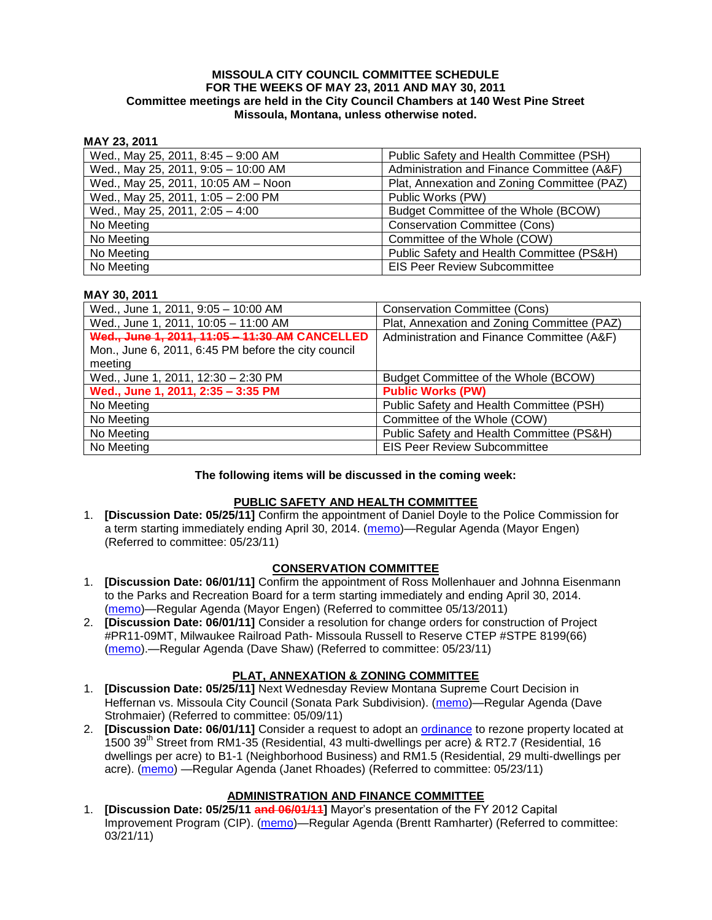#### **MISSOULA CITY COUNCIL COMMITTEE SCHEDULE FOR THE WEEKS OF MAY 23, 2011 AND MAY 30, 2011 Committee meetings are held in the City Council Chambers at 140 West Pine Street Missoula, Montana, unless otherwise noted.**

### **MAY 23, 2011**

| Wed., May 25, 2011, 8:45 - 9:00 AM  | Public Safety and Health Committee (PSH)    |
|-------------------------------------|---------------------------------------------|
| Wed., May 25, 2011, 9:05 - 10:00 AM | Administration and Finance Committee (A&F)  |
| Wed., May 25, 2011, 10:05 AM - Noon | Plat, Annexation and Zoning Committee (PAZ) |
| Wed., May 25, 2011, 1:05 - 2:00 PM  | Public Works (PW)                           |
| Wed., May 25, 2011, $2:05 - 4:00$   | Budget Committee of the Whole (BCOW)        |
| No Meeting                          | <b>Conservation Committee (Cons)</b>        |
| No Meeting                          | Committee of the Whole (COW)                |
| No Meeting                          | Public Safety and Health Committee (PS&H)   |
| No Meeting                          | <b>EIS Peer Review Subcommittee</b>         |

#### **MAY 30, 2011**

| Wed., June 1, 2011, 9:05 - 10:00 AM                 | <b>Conservation Committee (Cons)</b>        |
|-----------------------------------------------------|---------------------------------------------|
| Wed., June 1, 2011, 10:05 - 11:00 AM                | Plat, Annexation and Zoning Committee (PAZ) |
| Wed., June 1, 2011, 11:05 - 11:30 AM CANCELLED      | Administration and Finance Committee (A&F)  |
| Mon., June 6, 2011, 6:45 PM before the city council |                                             |
| meeting                                             |                                             |
| Wed., June 1, 2011, 12:30 - 2:30 PM                 | Budget Committee of the Whole (BCOW)        |
| Wed., June 1, 2011, 2:35 - 3:35 PM                  | <b>Public Works (PW)</b>                    |
| No Meeting                                          | Public Safety and Health Committee (PSH)    |
| No Meeting                                          | Committee of the Whole (COW)                |
| No Meeting                                          | Public Safety and Health Committee (PS&H)   |
| No Meeting                                          | <b>EIS Peer Review Subcommittee</b>         |

#### **The following items will be discussed in the coming week:**

# **PUBLIC SAFETY AND HEALTH COMMITTEE**

1. **[Discussion Date: 05/25/11]** Confirm the appointment of Daniel Doyle to the Police Commission for a term starting immediately ending April 30, 2014. [\(memo\)](http://www.ci.missoula.mt.us/DocumentView.aspx?DID=6471)—Regular Agenda (Mayor Engen) (Referred to committee: 05/23/11)

#### **CONSERVATION COMMITTEE**

- 1. **[Discussion Date: 06/01/11]** Confirm the appointment of Ross Mollenhauer and Johnna Eisenmann to the Parks and Recreation Board for a term starting immediately and ending April 30, 2014. [\(memo\)](http://www.ci.missoula.mt.us/DocumentView.aspx?DID=6472)—Regular Agenda (Mayor Engen) (Referred to committee 05/13/2011)
- 2. **[Discussion Date: 06/01/11]** Consider a resolution for change orders for construction of Project #PR11-09MT, Milwaukee Railroad Path- Missoula Russell to Reserve CTEP #STPE 8199(66) [\(memo\)](http://www.ci.missoula.mt.us/DocumentView.aspx?DID=6484).—Regular Agenda (Dave Shaw) (Referred to committee: 05/23/11)

#### **PLAT, ANNEXATION & ZONING COMMITTEE**

- 1. **[Discussion Date: 05/25/11]** Next Wednesday Review Montana Supreme Court Decision in Heffernan vs. Missoula City Council (Sonata Park Subdivision). [\(memo\)](http://www.ci.missoula.mt.us/DocumentView.aspx?DID=6352)—Regular Agenda (Dave Strohmaier) (Referred to committee: 05/09/11)
- 2. **[Discussion Date: 06/01/11]** Consider a request to adopt an [ordinance](http://www.ci.missoula.mt.us/DocumentView.aspx?DID=6463) to rezone property located at 1500 39th Street from RM1-35 (Residential, 43 multi-dwellings per acre) & RT2.7 (Residential, 16 dwellings per acre) to B1-1 (Neighborhood Business) and RM1.5 (Residential, 29 multi-dwellings per acre). [\(memo\)](http://www.ci.missoula.mt.us/DocumentView.aspx?DID=6469) —Regular Agenda (Janet Rhoades) (Referred to committee: 05/23/11)

# **ADMINISTRATION AND FINANCE COMMITTEE**

1. **[Discussion Date: 05/25/11 and 06/01/11]** Mayor's presentation of the FY 2012 Capital Improvement Program (CIP). [\(memo\)](http://www.ci.missoula.mt.us/DocumentView.aspx?DID=5789)—Regular Agenda (Brentt Ramharter) (Referred to committee: 03/21/11)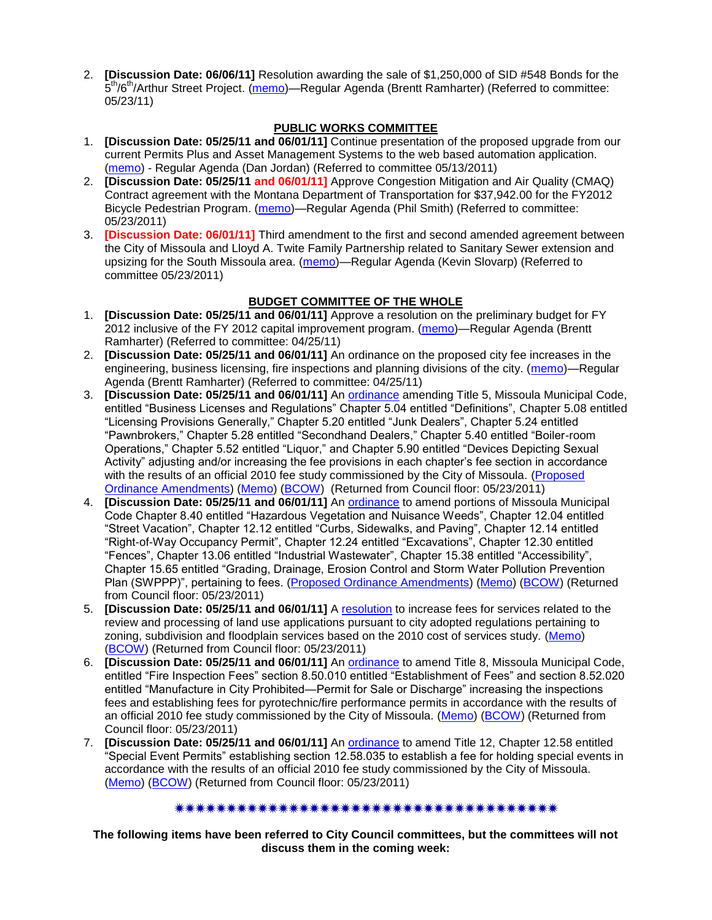2. **[Discussion Date: 06/06/11]** Resolution awarding the sale of \$1,250,000 of SID #548 Bonds for the 5<sup>th</sup>/6<sup>th</sup>/Arthur Street Project. [\(memo\)](http://www.ci.missoula.mt.us/DocumentView.aspx?DID=6476)—Regular Agenda (Brentt Ramharter) (Referred to committee: 05/23/11)

### **PUBLIC WORKS COMMITTEE**

- 1. **[Discussion Date: 05/25/11 and 06/01/11]** Continue presentation of the proposed upgrade from our current Permits Plus and Asset Management Systems to the web based automation application. [\(memo\)](http://www.ci.missoula.mt.us/DocumentView.aspx?DID=6417) - Regular Agenda (Dan Jordan) (Referred to committee 05/13/2011)
- 2. **[Discussion Date: 05/25/11 and 06/01/11]** Approve Congestion Mitigation and Air Quality (CMAQ) Contract agreement with the Montana Department of Transportation for \$37,942.00 for the FY2012 Bicycle Pedestrian Program. [\(memo\)](http://www.ci.missoula.mt.us/DocumentView.aspx?DID=6470)—Regular Agenda (Phil Smith) (Referred to committee: 05/23/2011)
- 3. **[Discussion Date: 06/01/11]** Third amendment to the first and second amended agreement between the City of Missoula and Lloyd A. Twite Family Partnership related to Sanitary Sewer extension and upsizing for the South Missoula area. [\(memo\)](http://www.ci.missoula.mt.us/DocumentView.aspx?DID=6483)—Regular Agenda (Kevin Slovarp) (Referred to committee 05/23/2011)

# **BUDGET COMMITTEE OF THE WHOLE**

- 1. **[Discussion Date: 05/25/11 and 06/01/11]** Approve a resolution on the preliminary budget for FY 2012 inclusive of the FY 2012 capital improvement program. [\(memo\)](http://www.ci.missoula.mt.us/DocumentView.aspx?DID=6255)—Regular Agenda (Brentt Ramharter) (Referred to committee: 04/25/11)
- 2. **[Discussion Date: 05/25/11 and 06/01/11]** An ordinance on the proposed city fee increases in the engineering, business licensing, fire inspections and planning divisions of the city. [\(memo\)](http://www.ci.missoula.mt.us/DocumentView.aspx?DID=6262)—Regular Agenda (Brentt Ramharter) (Referred to committee: 04/25/11)
- 3. **[Discussion Date: 05/25/11 and 06/01/11]** An [ordinance](http://www.ci.missoula.mt.us/DocumentView.aspx?DID=6298) amending Title 5, Missoula Municipal Code, entitled "Business Licenses and Regulations" Chapter 5.04 entitled "Definitions", Chapter 5.08 entitled "Licensing Provisions Generally," Chapter 5.20 entitled "Junk Dealers", Chapter 5.24 entitled "Pawnbrokers," Chapter 5.28 entitled "Secondhand Dealers," Chapter 5.40 entitled "Boiler-room Operations," Chapter 5.52 entitled "Liquor," and Chapter 5.90 entitled "Devices Depicting Sexual Activity" adjusting and/or increasing the fee provisions in each chapter's fee section in accordance with the results of an official 2010 fee study commissioned by the City of Missoula. [\(Proposed](http://www.ci.missoula.mt.us/DocumentView.aspx?DID=6440)  [Ordinance Amendments\)](http://www.ci.missoula.mt.us/DocumentView.aspx?DID=6440) [\(Memo\)](http://www.ci.missoula.mt.us/DocumentView.aspx?DID=6262) [\(BCOW\)](http://www.ci.missoula.mt.us/Archive.aspx?ADID=3962) (Returned from Council floor: 05/23/2011)
- 4. **[Discussion Date: 05/25/11 and 06/01/11]** An [ordinance](http://www.ci.missoula.mt.us/DocumentView.aspx?DID=6297) to amend portions of Missoula Municipal Code Chapter 8.40 entitled "Hazardous Vegetation and Nuisance Weeds", Chapter 12.04 entitled "Street Vacation", Chapter 12.12 entitled "Curbs, Sidewalks, and Paving", Chapter 12.14 entitled "Right-of-Way Occupancy Permit", Chapter 12.24 entitled "Excavations", Chapter 12.30 entitled "Fences", Chapter 13.06 entitled "Industrial Wastewater", Chapter 15.38 entitled "Accessibility", Chapter 15.65 entitled "Grading, Drainage, Erosion Control and Storm Water Pollution Prevention Plan (SWPPP)‖, pertaining to fees. [\(Proposed Ordinance Amendments\)](http://www.ci.missoula.mt.us/DocumentView.aspx?DID=6467) [\(Memo\)](http://www.ci.missoula.mt.us/DocumentView.aspx?DID=6262) [\(BCOW\)](http://www.ci.missoula.mt.us/Archive.aspx?ADID=3908) (Returned from Council floor: 05/23/2011)
- 5. **[Discussion Date: 05/25/11 and 06/01/11]** A [resolution](http://www.ci.missoula.mt.us/DocumentView.aspx?DID=6296) to increase fees for services related to the review and processing of land use applications pursuant to city adopted regulations pertaining to zoning, subdivision and floodplain services based on the 2010 cost of services study. [\(Memo\)](http://www.ci.missoula.mt.us/DocumentView.aspx?DID=6262) [\(BCOW\)](http://www.ci.missoula.mt.us/Archive.aspx?ADID=3908) (Returned from Council floor: 05/23/2011)
- 6. **[Discussion Date: 05/25/11 and 06/01/11]** An [ordinance](http://www.ci.missoula.mt.us/DocumentView.aspx?DID=6299) to amend Title 8, Missoula Municipal Code, entitled "Fire Inspection Fees" section 8.50.010 entitled "Establishment of Fees" and section 8.52.020 entitled "Manufacture in City Prohibited—Permit for Sale or Discharge" increasing the inspections fees and establishing fees for pyrotechnic/fire performance permits in accordance with the results of an official 2010 fee study commissioned by the City of Missoula. [\(Memo\)](http://www.ci.missoula.mt.us/DocumentView.aspx?DID=6262) [\(BCOW\)](http://www.ci.missoula.mt.us/Archive.aspx?ADID=3908) (Returned from Council floor: 05/23/2011)
- 7. **[Discussion Date: 05/25/11 and 06/01/11]** An [ordinance](http://www.ci.missoula.mt.us/DocumentView.aspx?DID=6303) to amend Title 12, Chapter 12.58 entitled ―Special Event Permits‖ establishing section 12.58.035 to establish a fee for holding special events in accordance with the results of an official 2010 fee study commissioned by the City of Missoula. [\(Memo\)](http://www.ci.missoula.mt.us/DocumentView.aspx?DID=6262) [\(BCOW\)](http://www.ci.missoula.mt.us/Archive.aspx?ADID=3908) (Returned from Council floor: 05/23/2011)

# 

**The following items have been referred to City Council committees, but the committees will not discuss them in the coming week:**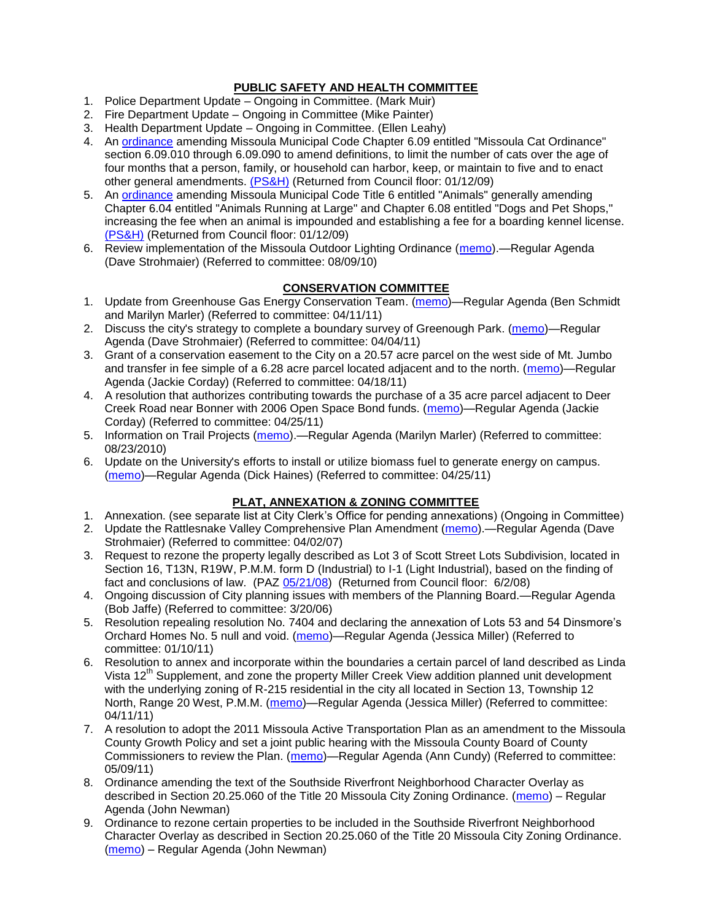# **PUBLIC SAFETY AND HEALTH COMMITTEE**

- 1. Police Department Update Ongoing in Committee. (Mark Muir)
- 2. Fire Department Update Ongoing in Committee (Mike Painter)
- 3. Health Department Update Ongoing in Committee. (Ellen Leahy)
- 4. An [ordinance](ftp://ftp.ci.missoula.mt.us/Packets/Council/2008/2008-12-15/2008CatOrdinanceAmendment%5B1%5D.pdf) amending Missoula Municipal Code Chapter 6.09 entitled "Missoula Cat Ordinance" section 6.09.010 through 6.09.090 to amend definitions, to limit the number of cats over the age of four months that a person, family, or household can harbor, keep, or maintain to five and to enact other general amendments. [\(PS&H\)](ftp://ftp.ci.missoula.mt.us/Packets/Council/2008/2008-12-15/081210psh.pdf) (Returned from Council floor: 01/12/09)
- 5. An [ordinance](ftp://ftp.ci.missoula.mt.us/Packets/Council/2008/2008-12-15/DogOrdinance--PSHrevisions.pdf) amending Missoula Municipal Code Title 6 entitled "Animals" generally amending Chapter 6.04 entitled "Animals Running at Large" and Chapter 6.08 entitled "Dogs and Pet Shops," increasing the fee when an animal is impounded and establishing a fee for a boarding kennel license. [\(PS&H\)](ftp://ftp.ci.missoula.mt.us/Packets/Council/2008/2008-12-15/081210psh.pdf) (Returned from Council floor: 01/12/09)
- 6. Review implementation of the Missoula Outdoor Lighting Ordinance [\(memo\)](http://www.ci.missoula.mt.us/DocumentView.aspx?DID=4420).—Regular Agenda (Dave Strohmaier) (Referred to committee: 08/09/10)

#### **CONSERVATION COMMITTEE**

- 1. Update from Greenhouse Gas Energy Conservation Team. [\(memo\)](http://www.ci.missoula.mt.us/DocumentView.aspx?DID=5945)—Regular Agenda (Ben Schmidt and Marilyn Marler) (Referred to committee: 04/11/11)
- 2. Discuss the city's strategy to complete a boundary survey of Greenough Park. [\(memo\)](http://www.ci.missoula.mt.us/DocumentView.aspx?DID=5875)—Regular Agenda (Dave Strohmaier) (Referred to committee: 04/04/11)
- 3. Grant of a conservation easement to the City on a 20.57 acre parcel on the west side of Mt. Jumbo and transfer in fee simple of a 6.28 acre parcel located adjacent and to the north. [\(memo\)](http://www.ci.missoula.mt.us/DocumentView.aspx?DID=6170)—Regular Agenda (Jackie Corday) (Referred to committee: 04/18/11)
- 4. A resolution that authorizes contributing towards the purchase of a 35 acre parcel adjacent to Deer Creek Road near Bonner with 2006 Open Space Bond funds. [\(memo\)](http://www.ci.missoula.mt.us/DocumentView.aspx?DID=6254)—Regular Agenda (Jackie Corday) (Referred to committee: 04/25/11)
- 5. Information on Trail Projects [\(memo\)](http://www.ci.missoula.mt.us/DocumentView.aspx?DID=4477).—Regular Agenda (Marilyn Marler) (Referred to committee: 08/23/2010)
- 6. Update on the University's efforts to install or utilize biomass fuel to generate energy on campus. [\(memo\)](http://www.ci.missoula.mt.us/DocumentView.aspx?DID=6268)—Regular Agenda (Dick Haines) (Referred to committee: 04/25/11)

# **PLAT, ANNEXATION & ZONING COMMITTEE**

- 1. Annexation. (see separate list at City Clerk's Office for pending annexations) (Ongoing in Committee)
- 2. Update the Rattlesnake Valley Comprehensive Plan Amendment [\(memo\)](ftp://ftp.ci.missoula.mt.us/Packets/Council/2007/2007-04-02/Referrals/Rattlesnake_Plan_Update_referral.pdf).—Regular Agenda (Dave Strohmaier) (Referred to committee: 04/02/07)
- 3. Request to rezone the property legally described as Lot 3 of Scott Street Lots Subdivision, located in Section 16, T13N, R19W, P.M.M. form D (Industrial) to I-1 (Light Industrial), based on the finding of fact and conclusions of law. (PAZ [05/21/08\)](ftp://ftp.ci.missoula.mt.us/Packets/Council/2008/2008-06-02/080521paz.pdf) (Returned from Council floor: 6/2/08)
- 4. Ongoing discussion of City planning issues with members of the Planning Board.—Regular Agenda (Bob Jaffe) (Referred to committee: 3/20/06)
- 5. Resolution repealing resolution No. 7404 and declaring the annexation of Lots 53 and 54 Dinsmore's Orchard Homes No. 5 null and void. [\(memo\)](http://www.ci.missoula.mt.us/DocumentView.aspx?DID=5349)—Regular Agenda (Jessica Miller) (Referred to committee: 01/10/11)
- 6. Resolution to annex and incorporate within the boundaries a certain parcel of land described as Linda Vista 12<sup>th</sup> Supplement, and zone the property Miller Creek View addition planned unit development with the underlying zoning of R-215 residential in the city all located in Section 13, Township 12 North, Range 20 West, P.M.M. [\(memo\)](http://www.ci.missoula.mt.us/DocumentView.aspx?DID=5992)—Regular Agenda (Jessica Miller) (Referred to committee: 04/11/11)
- 7. A resolution to adopt the 2011 Missoula Active Transportation Plan as an amendment to the Missoula County Growth Policy and set a joint public hearing with the Missoula County Board of County Commissioners to review the Plan. [\(memo\)](http://www.ci.missoula.mt.us/DocumentView.aspx?DID=6367)—Regular Agenda (Ann Cundy) (Referred to committee: 05/09/11)
- 8. Ordinance amending the text of the Southside Riverfront Neighborhood Character Overlay as described in Section 20.25.060 of the Title 20 Missoula City Zoning Ordinance. [\(memo\)](http://www.ci.missoula.mt.us/DocumentView.aspx?DID=6422) – Regular Agenda (John Newman)
- 9. Ordinance to rezone certain properties to be included in the Southside Riverfront Neighborhood Character Overlay as described in Section 20.25.060 of the Title 20 Missoula City Zoning Ordinance. [\(memo\)](http://www.ci.missoula.mt.us/DocumentView.aspx?DID=6422) – Regular Agenda (John Newman)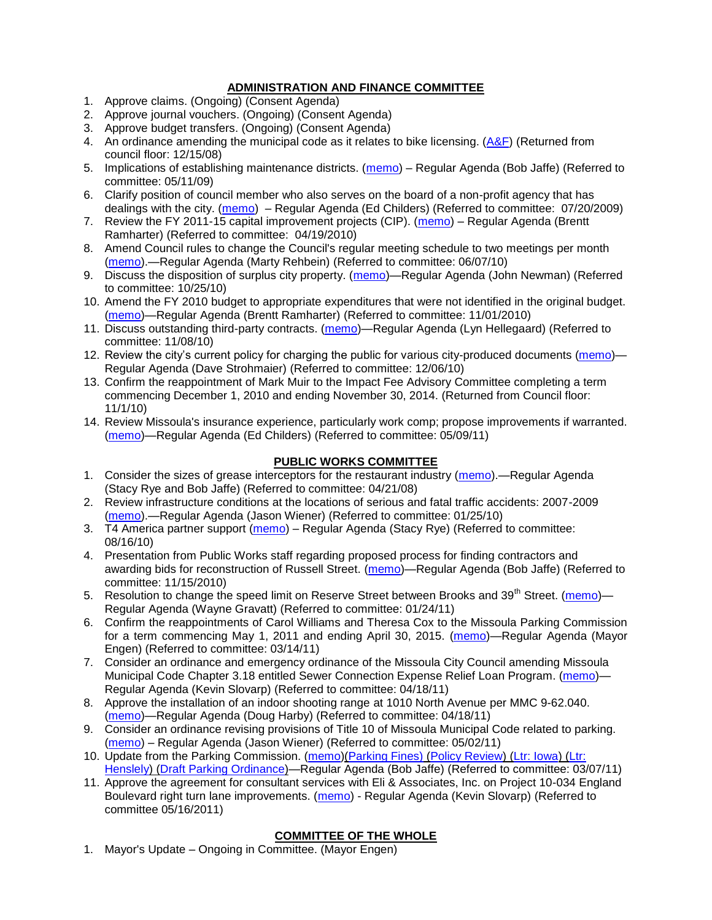### **ADMINISTRATION AND FINANCE COMMITTEE**

- 1. Approve claims. (Ongoing) (Consent Agenda)
- 2. Approve journal vouchers. (Ongoing) (Consent Agenda)
- 3. Approve budget transfers. (Ongoing) (Consent Agenda)
- 4. An ordinance amending the municipal code as it relates to bike licensing.  $(A\&F)$  (Returned from council floor: 12/15/08)
- 5. Implications of establishing maintenance districts. [\(memo\)](ftp://ftp.ci.missoula.mt.us/Packets/Council/2009/2009-05-11/Referrals/MaintenanceDistricts.pdf) Regular Agenda (Bob Jaffe) (Referred to committee: 05/11/09)
- 6. Clarify position of council member who also serves on the board of a non-profit agency that has dealings with the city. [\(memo\)](http://www.ci.missoula.mt.us/DocumentView.aspx?DID=1840) – Regular Agenda (Ed Childers) (Referred to committee: 07/20/2009)
- 7. Review the FY 2011-15 capital improvement projects (CIP). [\(memo\)](http://www.ci.missoula.mt.us/DocumentView.aspx?DID=3522) Regular Agenda (Brentt Ramharter) (Referred to committee: 04/19/2010)
- 8. Amend Council rules to change the Council's regular meeting schedule to two meetings per month [\(memo\)](http://www.ci.missoula.mt.us/DocumentView.aspx?DID=4027).—Regular Agenda (Marty Rehbein) (Referred to committee: 06/07/10)
- 9. Discuss the disposition of surplus city property. [\(memo\)](http://www.ci.missoula.mt.us/DocumentView.aspx?DID=4862)—Regular Agenda (John Newman) (Referred to committee: 10/25/10)
- 10. Amend the FY 2010 budget to appropriate expenditures that were not identified in the original budget. [\(memo\)](http://www.ci.missoula.mt.us/DocumentView.aspx?DID=4883)—Regular Agenda (Brentt Ramharter) (Referred to committee: 11/01/2010)
- 11. Discuss outstanding third-party contracts. [\(memo\)](http://www.ci.missoula.mt.us/DocumentView.aspx?DID=4956)—Regular Agenda (Lyn Hellegaard) (Referred to committee: 11/08/10)
- 12. Review the city's current policy for charging the public for various city-produced documents [\(memo\)](http://www.ci.missoula.mt.us/DocumentView.aspx?DID=5143) Regular Agenda (Dave Strohmaier) (Referred to committee: 12/06/10)
- 13. Confirm the reappointment of Mark Muir to the Impact Fee Advisory Committee completing a term commencing December 1, 2010 and ending November 30, 2014. (Returned from Council floor: 11/1/10)
- 14. Review Missoula's insurance experience, particularly work comp; propose improvements if warranted. [\(memo\)](http://www.ci.missoula.mt.us/DocumentView.aspx?DID=6381)—Regular Agenda (Ed Childers) (Referred to committee: 05/09/11)

### **PUBLIC WORKS COMMITTEE**

- 1. Consider the sizes of grease interceptors for the restaurant industry [\(memo\)](ftp://ftp.ci.missoula.mt.us/Packets/Council/2008/2008-04-21/Referrals/Industrial_waste_restaurants.pdf).—Regular Agenda (Stacy Rye and Bob Jaffe) (Referred to committee: 04/21/08)
- 2. Review infrastructure conditions at the locations of serious and fatal traffic accidents: 2007-2009 [\(memo\)](http://www.ci.missoula.mt.us/DocumentView.aspx?DID=3031).—Regular Agenda (Jason Wiener) (Referred to committee: 01/25/10)
- 3. T4 America partner support [\(memo\)](http://www.ci.missoula.mt.us/DocumentView.aspx?DID=4452) Regular Agenda (Stacy Rye) (Referred to committee: 08/16/10)
- 4. Presentation from Public Works staff regarding proposed process for finding contractors and awarding bids for reconstruction of Russell Street. [\(memo\)](http://www.ci.missoula.mt.us/DocumentView.aspx?DID=5042)—Regular Agenda (Bob Jaffe) (Referred to committee: 11/15/2010)
- 5. Resolution to change the speed limit on Reserve Street between Brooks and  $39<sup>th</sup>$  Street. [\(memo\)](http://www.ci.missoula.mt.us/DocumentView.aspx?DID=5418) Regular Agenda (Wayne Gravatt) (Referred to committee: 01/24/11)
- 6. Confirm the reappointments of Carol Williams and Theresa Cox to the Missoula Parking Commission for a term commencing May 1, 2011 and ending April 30, 2015. [\(memo\)](http://www.ci.missoula.mt.us/DocumentView.aspx?DID=5727)—Regular Agenda (Mayor Engen) (Referred to committee: 03/14/11)
- 7. Consider an ordinance and emergency ordinance of the Missoula City Council amending Missoula Municipal Code Chapter 3.18 entitled Sewer Connection Expense Relief Loan Program. [\(memo\)](http://www.ci.missoula.mt.us/DocumentView.aspx?DID=6161)-Regular Agenda (Kevin Slovarp) (Referred to committee: 04/18/11)
- 8. Approve the installation of an indoor shooting range at 1010 North Avenue per MMC 9-62.040. [\(memo\)](http://www.ci.missoula.mt.us/DocumentView.aspx?DID=6173)—Regular Agenda (Doug Harby) (Referred to committee: 04/18/11)
- 9. Consider an ordinance revising provisions of Title 10 of Missoula Municipal Code related to parking. [\(memo\)](http://www.ci.missoula.mt.us/DocumentView.aspx?DID=6329) – Regular Agenda (Jason Wiener) (Referred to committee: 05/02/11)
- 10. Update from the Parking Commission. [\(memo\)](http://www.ci.missoula.mt.us/DocumentView.aspx?DID=5666)[\(Parking Fines\)](http://www.ci.missoula.mt.us/DocumentView.aspx?DID=5802) [\(Policy Review\)](http://www.ci.missoula.mt.us/DocumentView.aspx?DID=5799) [\(Ltr: Iowa\)](http://www.ci.missoula.mt.us/DocumentView.aspx?DID=5803) [\(Ltr:](http://www.ci.missoula.mt.us/DocumentView.aspx?DID=5804)  [Henslely\)](http://www.ci.missoula.mt.us/DocumentView.aspx?DID=5804) [\(Draft Parking Ordinance\)](http://www.ci.missoula.mt.us/DocumentView.aspx?DID=6057)—Regular Agenda (Bob Jaffe) (Referred to committee: 03/07/11)
- 11. Approve the agreement for consultant services with Eli & Associates, Inc. on Project 10-034 England Boulevard right turn lane improvements. [\(memo\)](http://www.ci.missoula.mt.us/DocumentView.aspx?DID=6419) - Regular Agenda (Kevin Slovarp) (Referred to committee 05/16/2011)

# **COMMITTEE OF THE WHOLE**

1. Mayor's Update – Ongoing in Committee. (Mayor Engen)